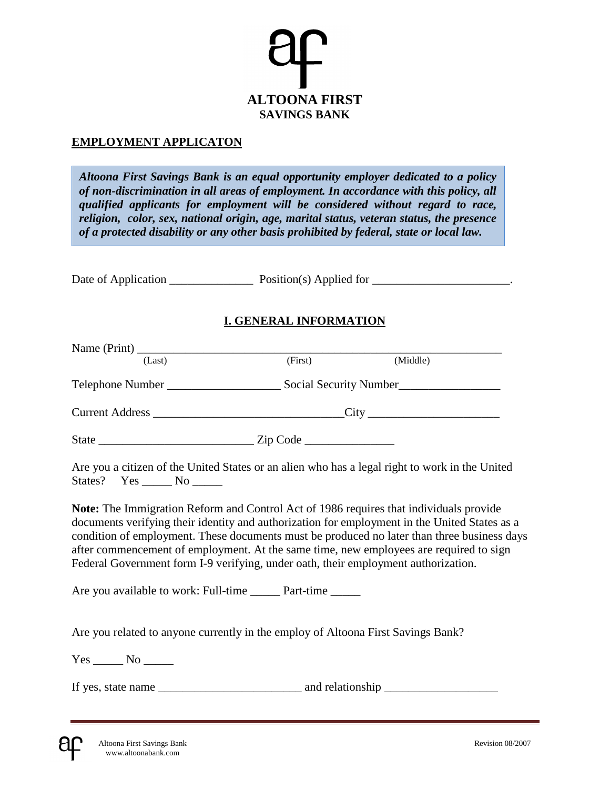

#### **EMPLOYMENT APPLICATON**

*Altoona First Savings Bank is an equal opportunity employer dedicated to a policy of non-discrimination in all areas of employment. In accordance with this policy, all qualified applicants for employment will be considered without regard to race, religion, color, sex, national origin, age, marital status, veteran status, the presence of a protected disability or any other basis prohibited by federal, state or local law.*

Date of Application \_\_\_\_\_\_\_\_\_\_\_\_\_\_ Position(s) Applied for \_\_\_\_\_\_\_\_\_\_\_\_\_\_\_\_\_\_\_\_\_\_\_.

#### **I. GENERAL INFORMATION**

| (Last)                                                                                                                                                                              | (First) | (Middle)                                                                                                                                                                                                                                                                               |  |
|-------------------------------------------------------------------------------------------------------------------------------------------------------------------------------------|---------|----------------------------------------------------------------------------------------------------------------------------------------------------------------------------------------------------------------------------------------------------------------------------------------|--|
|                                                                                                                                                                                     |         |                                                                                                                                                                                                                                                                                        |  |
|                                                                                                                                                                                     |         |                                                                                                                                                                                                                                                                                        |  |
|                                                                                                                                                                                     |         |                                                                                                                                                                                                                                                                                        |  |
| States? Yes _______ No ______                                                                                                                                                       |         | Are you a citizen of the United States or an alien who has a legal right to work in the United                                                                                                                                                                                         |  |
| <b>Note:</b> The Immigration Reform and Control Act of 1986 requires that individuals provide<br>Federal Government form I-9 verifying, under oath, their employment authorization. |         | documents verifying their identity and authorization for employment in the United States as a<br>condition of employment. These documents must be produced no later than three business days<br>after commencement of employment. At the same time, new employees are required to sign |  |
| Are you available to work: Full-time _______ Part-time ______                                                                                                                       |         |                                                                                                                                                                                                                                                                                        |  |
| Are you related to anyone currently in the employ of Altoona First Savings Bank?                                                                                                    |         |                                                                                                                                                                                                                                                                                        |  |
|                                                                                                                                                                                     |         |                                                                                                                                                                                                                                                                                        |  |
|                                                                                                                                                                                     |         |                                                                                                                                                                                                                                                                                        |  |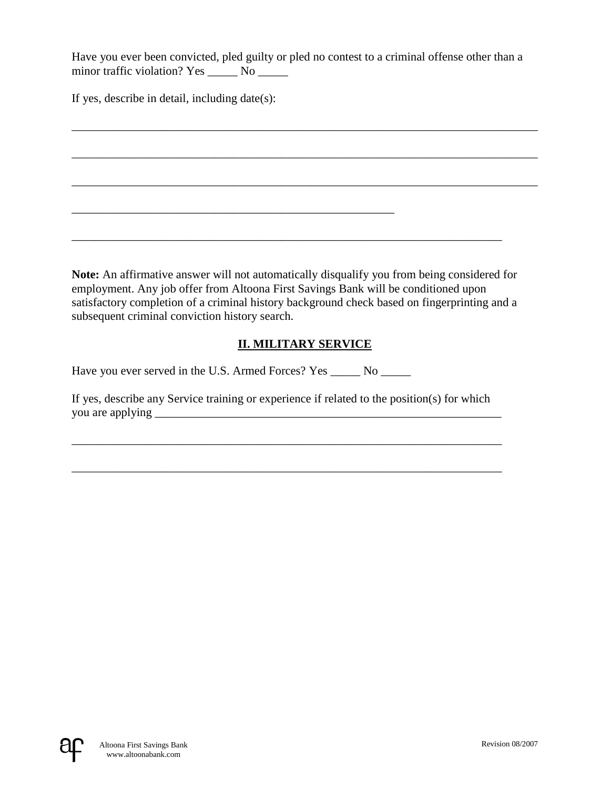Have you ever been convicted, pled guilty or pled no contest to a criminal offense other than a minor traffic violation? Yes \_\_\_\_\_\_ No \_\_\_\_\_\_

\_\_\_\_\_\_\_\_\_\_\_\_\_\_\_\_\_\_\_\_\_\_\_\_\_\_\_\_\_\_\_\_\_\_\_\_\_\_\_\_\_\_\_\_\_\_\_\_\_\_\_\_\_\_\_\_\_\_\_\_\_\_\_\_\_\_\_\_\_\_\_\_\_\_\_\_\_\_

\_\_\_\_\_\_\_\_\_\_\_\_\_\_\_\_\_\_\_\_\_\_\_\_\_\_\_\_\_\_\_\_\_\_\_\_\_\_\_\_\_\_\_\_\_\_\_\_\_\_\_\_\_\_\_\_\_\_\_\_\_\_\_\_\_\_\_\_\_\_\_\_\_\_\_\_\_\_

\_\_\_\_\_\_\_\_\_\_\_\_\_\_\_\_\_\_\_\_\_\_\_\_\_\_\_\_\_\_\_\_\_\_\_\_\_\_\_\_\_\_\_\_\_\_\_\_\_\_\_\_\_\_\_\_\_\_\_\_\_\_\_\_\_\_\_\_\_\_\_\_\_\_\_\_\_\_

If yes, describe in detail, including date(s):

**Note:** An affirmative answer will not automatically disqualify you from being considered for employment. Any job offer from Altoona First Savings Bank will be conditioned upon satisfactory completion of a criminal history background check based on fingerprinting and a subsequent criminal conviction history search.

\_\_\_\_\_\_\_\_\_\_\_\_\_\_\_\_\_\_\_\_\_\_\_\_\_\_\_\_\_\_\_\_\_\_\_\_\_\_\_\_\_\_\_\_\_\_\_\_\_\_\_\_\_\_\_\_\_\_\_\_\_\_\_\_\_\_\_\_\_\_\_\_

## **II. MILITARY SERVICE**

Have you ever served in the U.S. Armed Forces? Yes \_\_\_\_\_ No \_\_\_\_\_

\_\_\_\_\_\_\_\_\_\_\_\_\_\_\_\_\_\_\_\_\_\_\_\_\_\_\_\_\_\_\_\_\_\_\_\_\_\_\_\_\_\_\_\_\_\_\_\_\_\_\_\_\_\_

If yes, describe any Service training or experience if related to the position(s) for which you are applying \_\_\_\_\_\_\_\_\_\_\_\_\_\_\_\_\_\_\_\_\_\_\_\_\_\_\_\_\_\_\_\_\_\_\_\_\_\_\_\_\_\_\_\_\_\_\_\_\_\_\_\_\_\_\_\_\_\_

\_\_\_\_\_\_\_\_\_\_\_\_\_\_\_\_\_\_\_\_\_\_\_\_\_\_\_\_\_\_\_\_\_\_\_\_\_\_\_\_\_\_\_\_\_\_\_\_\_\_\_\_\_\_\_\_\_\_\_\_\_\_\_\_\_\_\_\_\_\_\_\_

\_\_\_\_\_\_\_\_\_\_\_\_\_\_\_\_\_\_\_\_\_\_\_\_\_\_\_\_\_\_\_\_\_\_\_\_\_\_\_\_\_\_\_\_\_\_\_\_\_\_\_\_\_\_\_\_\_\_\_\_\_\_\_\_\_\_\_\_\_\_\_\_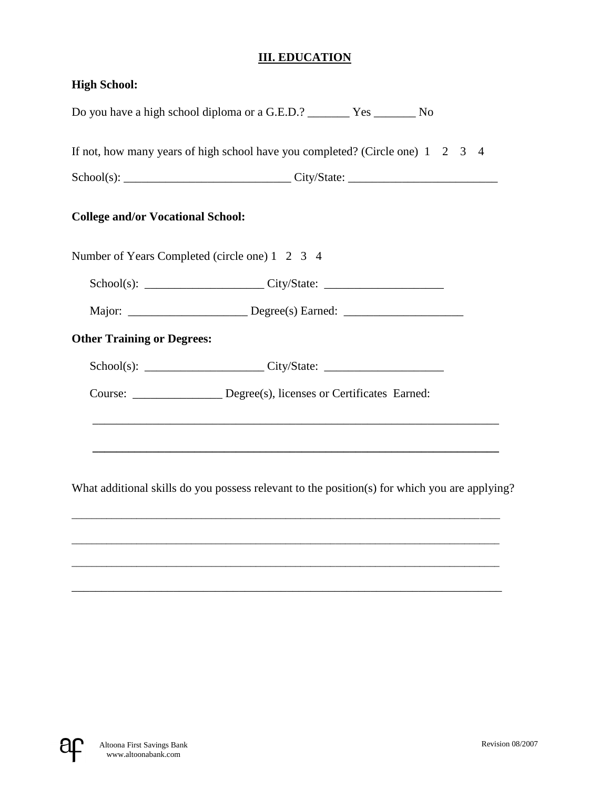## **III. EDUCATION**

| <b>High School:</b>                                                                                          |
|--------------------------------------------------------------------------------------------------------------|
|                                                                                                              |
| If not, how many years of high school have you completed? (Circle one) $1 \quad 2 \quad 3$<br>$\overline{4}$ |
|                                                                                                              |
| <b>College and/or Vocational School:</b>                                                                     |
| Number of Years Completed (circle one) 1 2 3 4                                                               |
|                                                                                                              |
| Major: ____________________________Degree(s) Earned: ___________________________                             |
| <b>Other Training or Degrees:</b>                                                                            |
|                                                                                                              |
| Course: ________________ Degree(s), licenses or Certificates Earned:                                         |
|                                                                                                              |
| What additional skills do you possess relevant to the position(s) for which you are applying?                |
|                                                                                                              |
|                                                                                                              |
|                                                                                                              |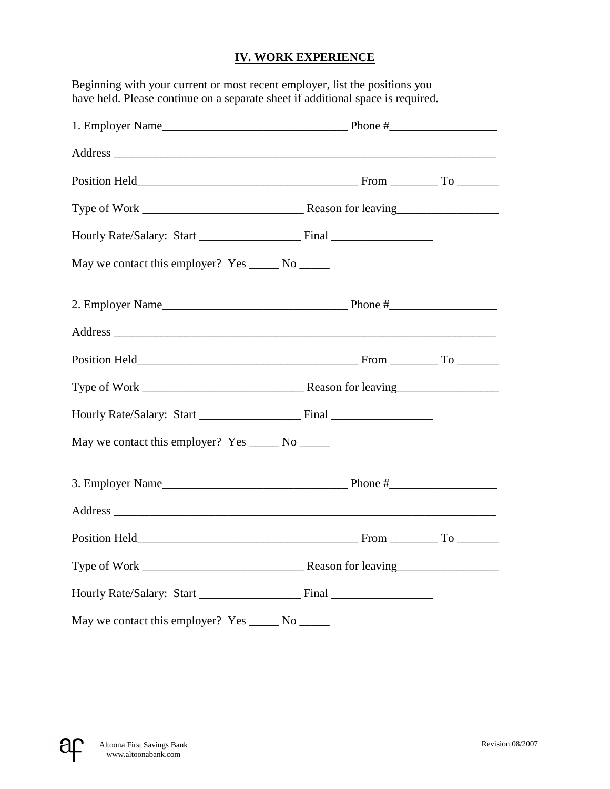#### **IV. WORK EXPERIENCE**

Beginning with your current or most recent employer, list the positions you have held. Please continue on a separate sheet if additional space is required.

| May we contact this employer? Yes _______ No _______ |  |
|------------------------------------------------------|--|
| 2. Employer Name $\qquad \qquad$ Phone #             |  |
|                                                      |  |
|                                                      |  |
|                                                      |  |
|                                                      |  |
| May we contact this employer? Yes _______ No ______  |  |
|                                                      |  |
|                                                      |  |
|                                                      |  |
|                                                      |  |
|                                                      |  |
| May we contact this employer? Yes _______ No ______  |  |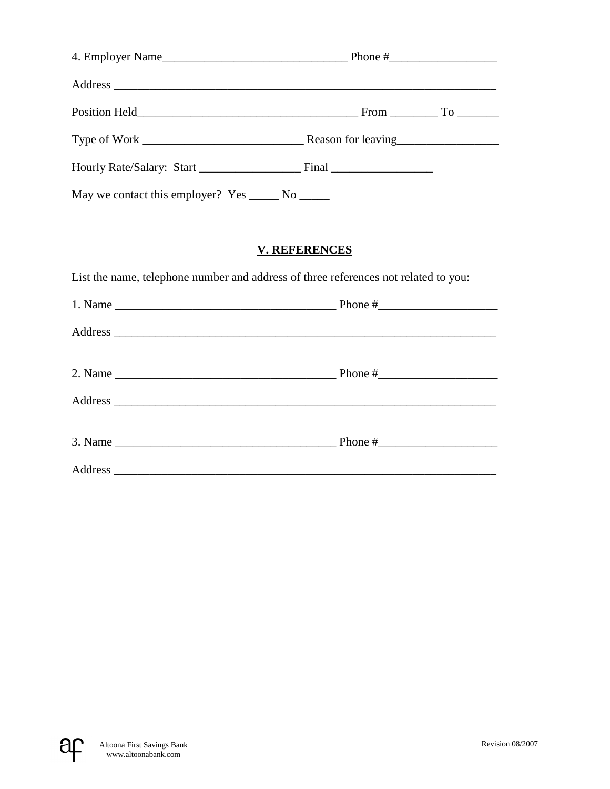| May we contact this employer? Yes ______ No ______                                  |                      |  |  |
|-------------------------------------------------------------------------------------|----------------------|--|--|
|                                                                                     |                      |  |  |
|                                                                                     | <b>V. REFERENCES</b> |  |  |
| List the name, telephone number and address of three references not related to you: |                      |  |  |
|                                                                                     |                      |  |  |
|                                                                                     |                      |  |  |
|                                                                                     |                      |  |  |
| 2. Name $\frac{1}{2}$ Phone $\frac{1}{2}$ Phone $\frac{1}{2}$ Phone $\frac{1}{2}$   |                      |  |  |
|                                                                                     |                      |  |  |
| 3. Name $\frac{1}{2}$ Phone $\frac{4}{2}$ Phone $\frac{4}{2}$                       |                      |  |  |
|                                                                                     |                      |  |  |